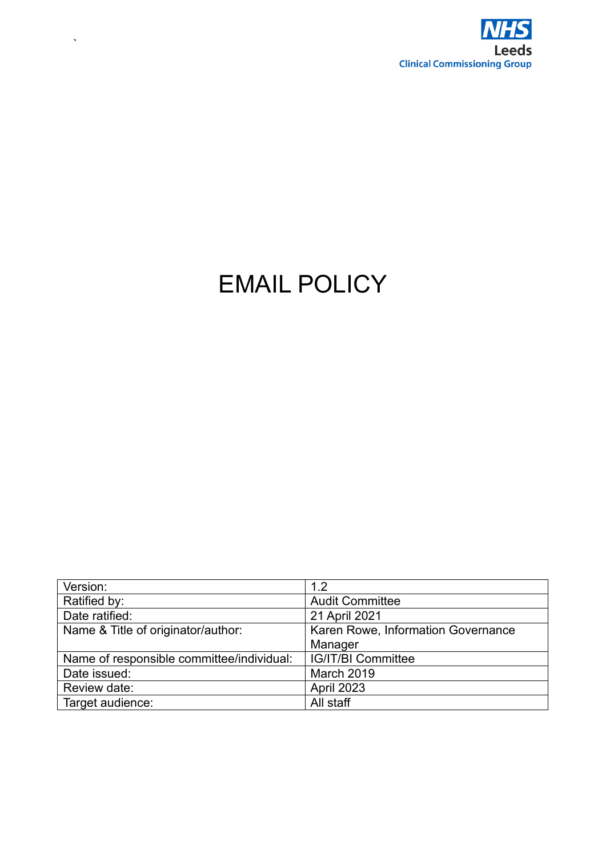

# EMAIL POLICY

 $\hat{\mathbf{v}}$ 

| Version:                                  | 1.2                                |
|-------------------------------------------|------------------------------------|
| Ratified by:                              | <b>Audit Committee</b>             |
| Date ratified:                            | 21 April 2021                      |
| Name & Title of originator/author:        | Karen Rowe, Information Governance |
|                                           | Manager                            |
| Name of responsible committee/individual: | <b>IG/IT/BI Committee</b>          |
| Date issued:                              | March 2019                         |
| Review date:                              | April 2023                         |
| Target audience:                          | All staff                          |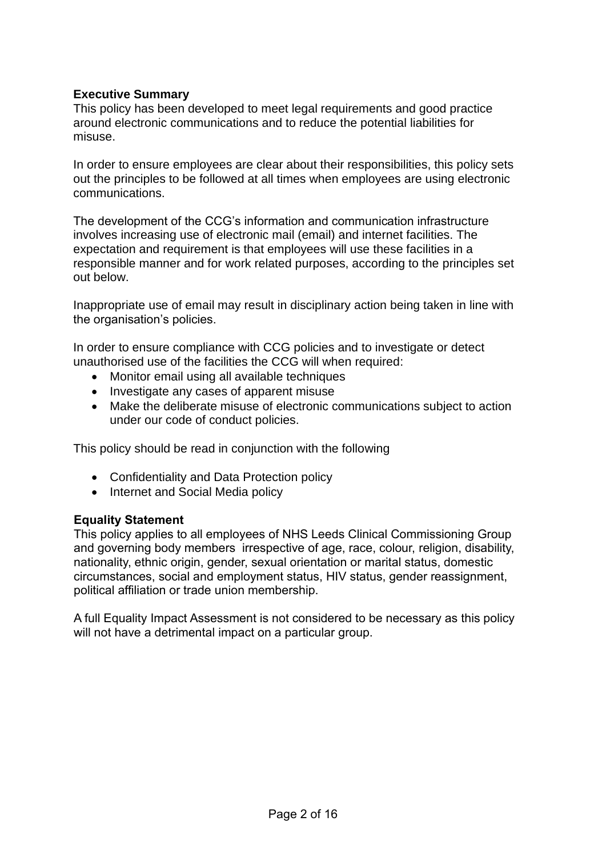## **Executive Summary**

This policy has been developed to meet legal requirements and good practice around electronic communications and to reduce the potential liabilities for misuse.

In order to ensure employees are clear about their responsibilities, this policy sets out the principles to be followed at all times when employees are using electronic communications.

The development of the CCG's information and communication infrastructure involves increasing use of electronic mail (email) and internet facilities. The expectation and requirement is that employees will use these facilities in a responsible manner and for work related purposes, according to the principles set out below.

Inappropriate use of email may result in disciplinary action being taken in line with the organisation's policies.

In order to ensure compliance with CCG policies and to investigate or detect unauthorised use of the facilities the CCG will when required:

- Monitor email using all available techniques
- Investigate any cases of apparent misuse
- Make the deliberate misuse of electronic communications subject to action under our code of conduct policies.

This policy should be read in conjunction with the following

- Confidentiality and Data Protection policy
- Internet and Social Media policy

#### **Equality Statement**

This policy applies to all employees of NHS Leeds Clinical Commissioning Group and governing body members irrespective of age, race, colour, religion, disability, nationality, ethnic origin, gender, sexual orientation or marital status, domestic circumstances, social and employment status, HIV status, gender reassignment, political affiliation or trade union membership.

A full Equality Impact Assessment is not considered to be necessary as this policy will not have a detrimental impact on a particular group.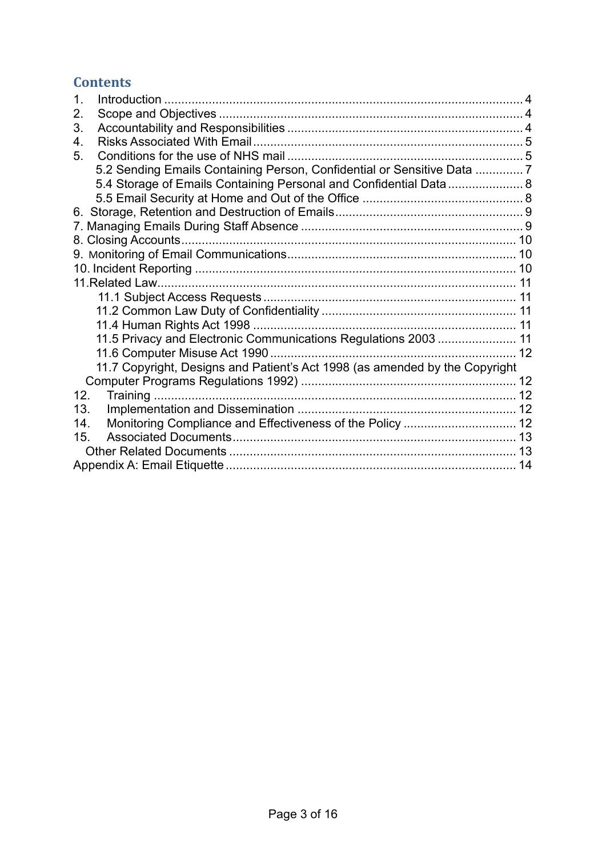## **Contents**

| $\mathbf 1$                                                                 |  |
|-----------------------------------------------------------------------------|--|
| 2.                                                                          |  |
| 3.                                                                          |  |
| 4.                                                                          |  |
| 5.                                                                          |  |
| 5.2 Sending Emails Containing Person, Confidential or Sensitive Data 7      |  |
| 5.4 Storage of Emails Containing Personal and Confidential Data  8          |  |
|                                                                             |  |
|                                                                             |  |
|                                                                             |  |
|                                                                             |  |
|                                                                             |  |
|                                                                             |  |
|                                                                             |  |
|                                                                             |  |
|                                                                             |  |
|                                                                             |  |
| 11.5 Privacy and Electronic Communications Regulations 2003  11             |  |
|                                                                             |  |
| 11.7 Copyright, Designs and Patient's Act 1998 (as amended by the Copyright |  |
|                                                                             |  |
| 12.                                                                         |  |
| 13.                                                                         |  |
| 14.                                                                         |  |
| 15 <sub>1</sub>                                                             |  |
|                                                                             |  |
|                                                                             |  |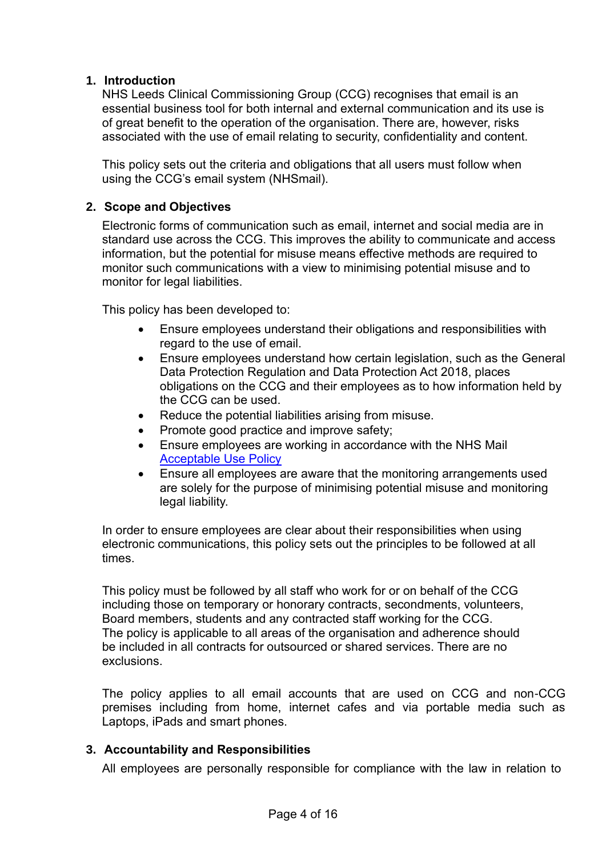## <span id="page-3-0"></span>**1. Introduction**

NHS Leeds Clinical Commissioning Group (CCG) recognises that email is an essential business tool for both internal and external communication and its use is of great benefit to the operation of the organisation. There are, however, risks associated with the use of email relating to security, confidentiality and content.

This policy sets out the criteria and obligations that all users must follow when using the CCG's email system (NHSmail).

## <span id="page-3-1"></span>**2. Scope and Objectives**

Electronic forms of communication such as email, internet and social media are in standard use across the CCG. This improves the ability to communicate and access information, but the potential for misuse means effective methods are required to monitor such communications with a view to minimising potential misuse and to monitor for legal liabilities.

This policy has been developed to:

- Ensure employees understand their obligations and responsibilities with regard to the use of email.
- Ensure employees understand how certain legislation, such as the General Data Protection Regulation and Data Protection Act 2018, places obligations on the CCG and their employees as to how information held by the CCG can be used.
- Reduce the potential liabilities arising from misuse.
- Promote good practice and improve safety;
- Ensure employees are working in accordance with the NHS Mail [Acceptable Use Policy](https://portal.nhs.net/Home/AcceptablePolicy)
- Ensure all employees are aware that the monitoring arrangements used are solely for the purpose of minimising potential misuse and monitoring legal liability.

In order to ensure employees are clear about their responsibilities when using electronic communications, this policy sets out the principles to be followed at all times.

This policy must be followed by all staff who work for or on behalf of the CCG including those on temporary or honorary contracts, secondments, volunteers, Board members, students and any contracted staff working for the CCG. The policy is applicable to all areas of the organisation and adherence should be included in all contracts for outsourced or shared services. There are no exclusions.

The policy applies to all email accounts that are used on CCG and non-CCG premises including from home, internet cafes and via portable media such as Laptops, iPads and smart phones.

#### <span id="page-3-2"></span>**3. Accountability and Responsibilities**

All employees are personally responsible for compliance with the law in relation to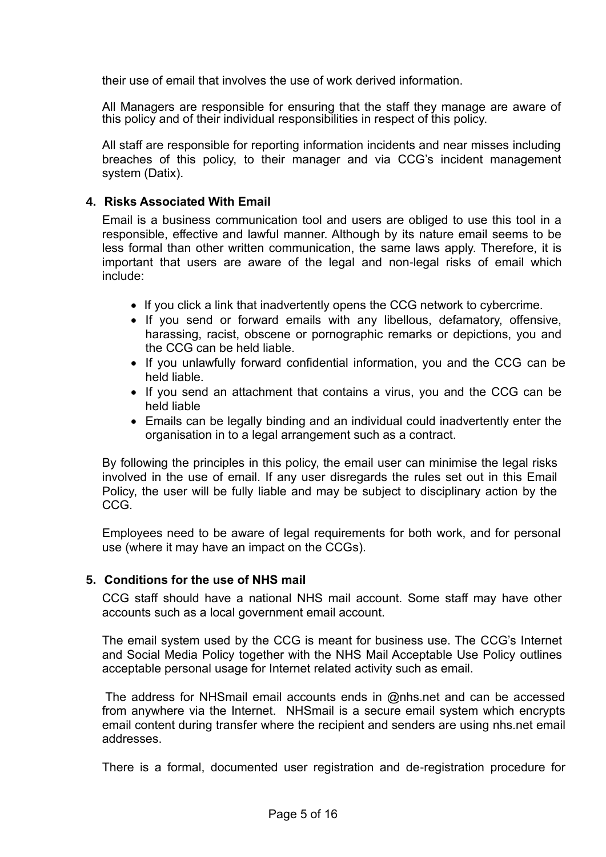their use of email that involves the use of work derived information.

All Managers are responsible for ensuring that the staff they manage are aware of this policy and of their individual responsibilities in respect of this policy.

All staff are responsible for reporting information incidents and near misses including breaches of this policy, to their manager and via CCG's incident management system (Datix).

#### <span id="page-4-0"></span>**4. Risks Associated With Email**

Email is a business communication tool and users are obliged to use this tool in a responsible, effective and lawful manner. Although by its nature email seems to be less formal than other written communication, the same laws apply. Therefore, it is important that users are aware of the legal and non-legal risks of email which include:

- If you click a link that inadvertently opens the CCG network to cybercrime.
- If you send or forward emails with any libellous, defamatory, offensive, harassing, racist, obscene or pornographic remarks or depictions, you and the CCG can be held liable.
- If you unlawfully forward confidential information, you and the CCG can be held liable.
- If you send an attachment that contains a virus, you and the CCG can be held liable
- Emails can be legally binding and an individual could inadvertently enter the organisation in to a legal arrangement such as a contract.

By following the principles in this policy, the email user can minimise the legal risks involved in the use of email. If any user disregards the rules set out in this Email Policy, the user will be fully liable and may be subject to disciplinary action by the CCG.

Employees need to be aware of legal requirements for both work, and for personal use (where it may have an impact on the CCGs).

#### <span id="page-4-1"></span>**5. Conditions for the use of NHS mail**

CCG staff should have a national NHS mail account. Some staff may have other accounts such as a local government email account.

The email system used by the CCG is meant for business use. The CCG's Internet and Social Media Policy together with the NHS Mail Acceptable Use Policy outlines acceptable personal usage for Internet related activity such as email.

The address for NHSmail email accounts ends in @nhs.net and can be accessed from anywhere via the Internet. NHSmail is a secure email system which encrypts email content during transfer where the recipient and senders are using nhs.net email addresses.

There is a formal, documented user registration and de-registration procedure for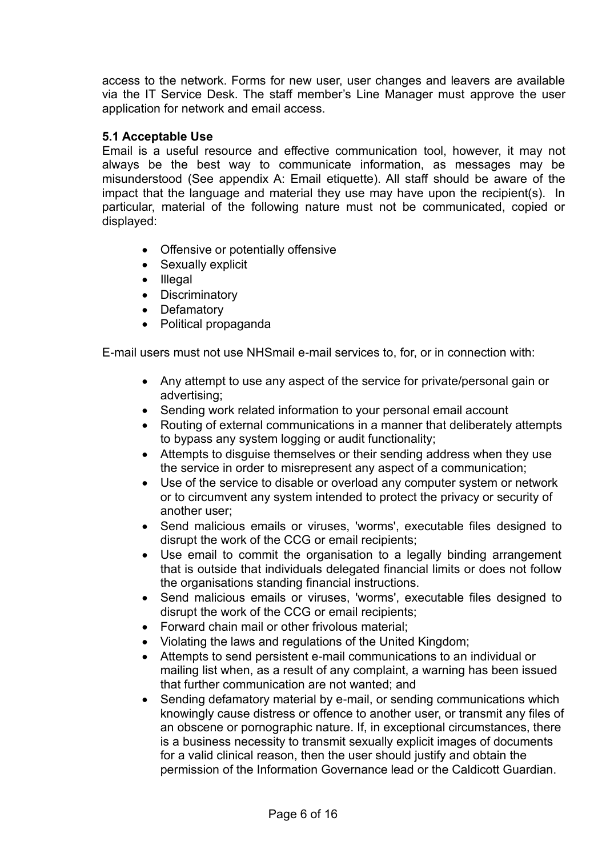access to the network. Forms for new user, user changes and leavers are available via the IT Service Desk. The staff member's Line Manager must approve the user application for network and email access.

## **5.1 Acceptable Use**

Email is a useful resource and effective communication tool, however, it may not always be the best way to communicate information, as messages may be misunderstood (See appendix A: Email etiquette). All staff should be aware of the impact that the language and material they use may have upon the recipient(s). In particular, material of the following nature must not be communicated, copied or displayed:

- Offensive or potentially offensive
- Sexually explicit
- Illegal
- Discriminatory
- Defamatory
- Political propaganda

E-mail users must not use NHSmail e-mail services to, for, or in connection with:

- Any attempt to use any aspect of the service for private/personal gain or advertising;
- Sending work related information to your personal email account
- Routing of external communications in a manner that deliberately attempts to bypass any system logging or audit functionality;
- Attempts to disguise themselves or their sending address when they use the service in order to misrepresent any aspect of a communication;
- Use of the service to disable or overload any computer system or network or to circumvent any system intended to protect the privacy or security of another user;
- Send malicious emails or viruses, 'worms', executable files designed to disrupt the work of the CCG or email recipients;
- Use email to commit the organisation to a legally binding arrangement that is outside that individuals delegated financial limits or does not follow the organisations standing financial instructions.
- Send malicious emails or viruses, 'worms', executable files designed to disrupt the work of the CCG or email recipients;
- Forward chain mail or other frivolous material;
- Violating the laws and regulations of the United Kingdom;
- Attempts to send persistent e-mail communications to an individual or mailing list when, as a result of any complaint, a warning has been issued that further communication are not wanted; and
- Sending defamatory material by e-mail, or sending communications which knowingly cause distress or offence to another user, or transmit any files of an obscene or pornographic nature. If, in exceptional circumstances, there is a business necessity to transmit sexually explicit images of documents for a valid clinical reason, then the user should justify and obtain the permission of the Information Governance lead or the Caldicott Guardian.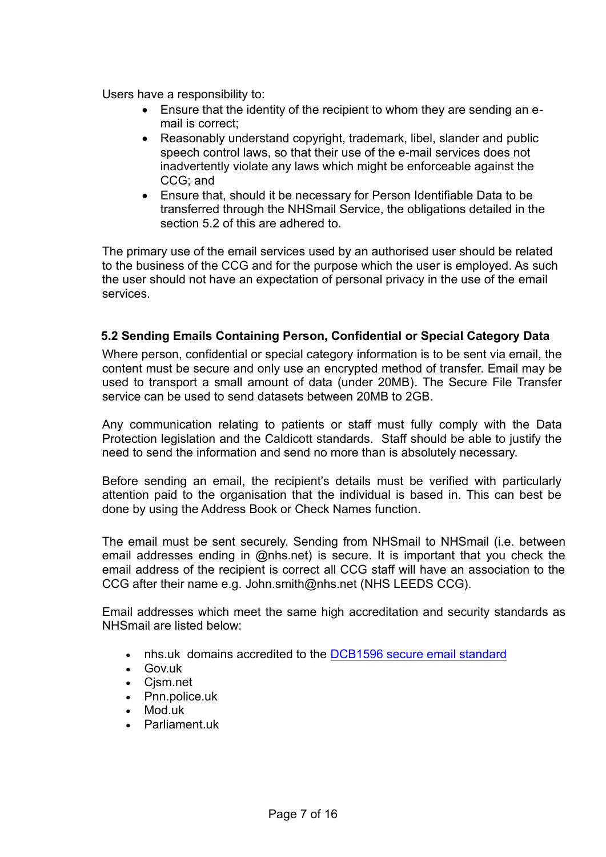Users have a responsibility to:

- Ensure that the identity of the recipient to whom they are sending an email is correct;
- Reasonably understand copyright, trademark, libel, slander and public speech control laws, so that their use of the e-mail services does not inadvertently violate any laws which might be enforceable against the CCG; and
- Ensure that, should it be necessary for Person Identifiable Data to be transferred through the NHSmail Service, the obligations detailed in the section 5.2 of this are adhered to.

The primary use of the email services used by an authorised user should be related to the business of the CCG and for the purpose which the user is employed. As such the user should not have an expectation of personal privacy in the use of the email services.

#### <span id="page-6-0"></span>**5.2 Sending Emails Containing Person, Confidential or Special Category Data**

Where person, confidential or special category information is to be sent via email, the content must be secure and only use an encrypted method of transfer. Email may be used to transport a small amount of data (under 20MB). The Secure File Transfer service can be used to send datasets between 20MB to 2GB.

Any communication relating to patients or staff must fully comply with the Data Protection legislation and the Caldicott standards. Staff should be able to justify the need to send the information and send no more than is absolutely necessary.

Before sending an email, the recipient's details must be verified with particularly attention paid to the organisation that the individual is based in. This can best be done by using the Address Book or Check Names function.

The email must be sent securely. Sending from NHSmail to NHSmail (i.e. between email addresses ending in @nhs.net) is secure. It is important that you check the email address of the recipient is correct all CCG staff will have an association to the CCG after their name e.g. John.smith@nhs.net (NHS LEEDS CCG).

Email addresses which meet the same high accreditation and security standards as NHSmail are listed below:

- nhs.uk domains accredited to the [DCB1596 secure email standard](https://digital.nhs.uk/services/nhsmail/the-secure-email-standard)
- Gov.uk
- Cjsm.net
- Pnn.police.uk
- Mod.uk
- Parliament uk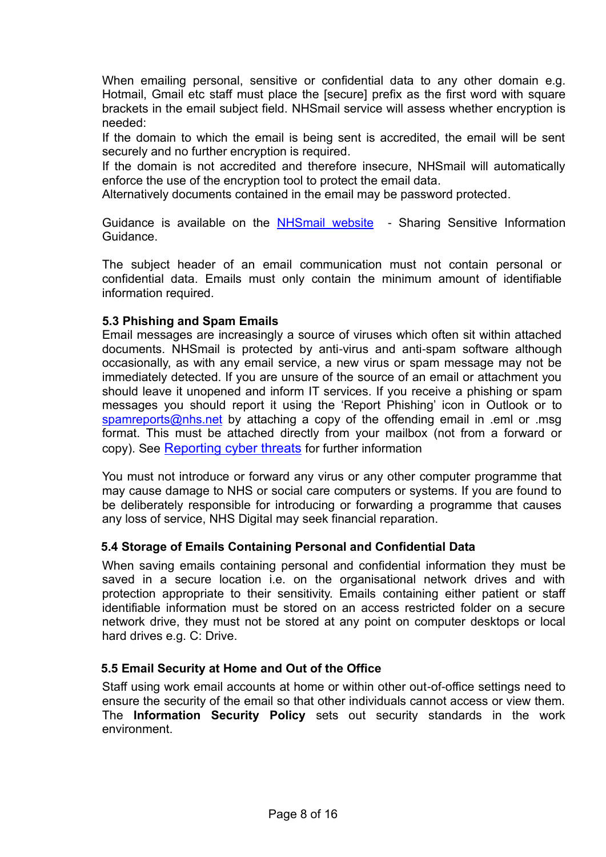When emailing personal, sensitive or confidential data to any other domain e.g. Hotmail, Gmail etc staff must place the [secure] prefix as the first word with square brackets in the email subject field. NHSmail service will assess whether encryption is needed:

If the domain to which the email is being sent is accredited, the email will be sent securely and no further encryption is required.

If the domain is not accredited and therefore insecure, NHSmail will automatically enforce the use of the encryption tool to protect the email data.

Alternatively documents contained in the email may be password protected.

Guidance is available on the [NHSmail website](http://support.nhs.net/policyandguidance) - Sharing Sensitive Information Guidance.

The subject header of an email communication must not contain personal or confidential data. Emails must only contain the minimum amount of identifiable information required.

#### **5.3 Phishing and Spam Emails**

Email messages are increasingly a source of viruses which often sit within attached documents. NHSmail is protected by anti-virus and anti-spam software although occasionally, as with any email service, a new virus or spam message may not be immediately detected. If you are unsure of the source of an email or attachment you should leave it unopened and inform IT services. If you receive a phishing or spam messages you should report it using the 'Report Phishing' icon in Outlook or to [spamreports@nhs.net](mailto:spamreports@nhs.net) by attaching a copy of the offending email in .eml or .msg format. This must be attached directly from your mailbox (not from a forward or copy). See [Reporting cyber threats](https://support.nhs.net/knowledge-base/reporting-cyber-threats/) for further information

You must not introduce or forward any virus or any other computer programme that may cause damage to NHS or social care computers or systems. If you are found to be deliberately responsible for introducing or forwarding a programme that causes any loss of service, NHS Digital may seek financial reparation.

## <span id="page-7-0"></span>**5.4 Storage of Emails Containing Personal and Confidential Data**

When saving emails containing personal and confidential information they must be saved in a secure location i.e. on the organisational network drives and with protection appropriate to their sensitivity. Emails containing either patient or staff identifiable information must be stored on an access restricted folder on a secure network drive, they must not be stored at any point on computer desktops or local hard drives e.g. C: Drive.

#### <span id="page-7-1"></span>**5.5 Email Security at Home and Out of the Office**

Staff using work email accounts at home or within other out-of-office settings need to ensure the security of the email so that other individuals cannot access or view them. The **Information Security Policy** sets out security standards in the work environment.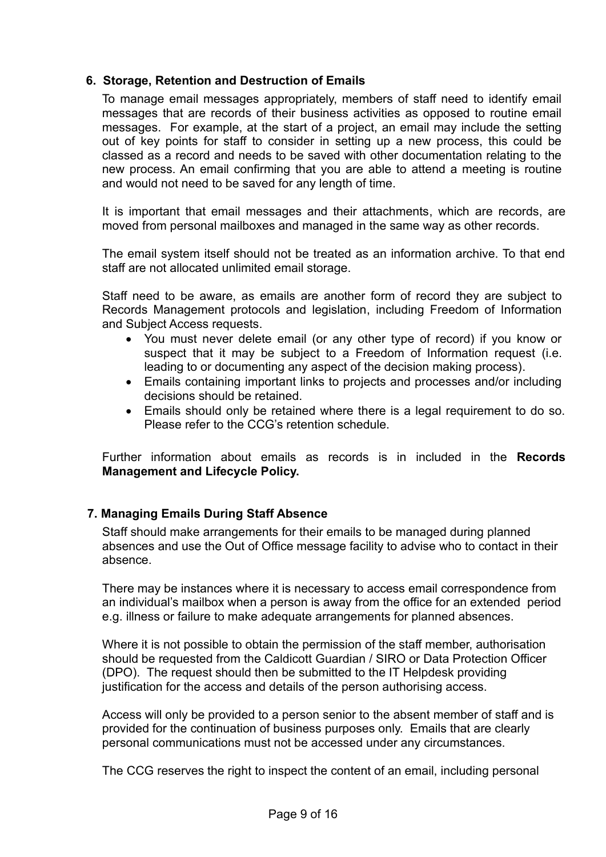## <span id="page-8-0"></span>**6. Storage, Retention and Destruction of Emails**

To manage email messages appropriately, members of staff need to identify email messages that are records of their business activities as opposed to routine email messages. For example, at the start of a project, an email may include the setting out of key points for staff to consider in setting up a new process, this could be classed as a record and needs to be saved with other documentation relating to the new process. An email confirming that you are able to attend a meeting is routine and would not need to be saved for any length of time.

It is important that email messages and their attachments, which are records, are moved from personal mailboxes and managed in the same way as other records.

The email system itself should not be treated as an information archive. To that end staff are not allocated unlimited email storage.

Staff need to be aware, as emails are another form of record they are subject to Records Management protocols and legislation, including Freedom of Information and Subject Access requests.

- You must never delete email (or any other type of record) if you know or suspect that it may be subject to a Freedom of Information request (i.e. leading to or documenting any aspect of the decision making process).
- Emails containing important links to projects and processes and/or including decisions should be retained.
- Emails should only be retained where there is a legal requirement to do so. Please refer to the CCG's retention schedule.

Further information about emails as records is in included in the **Records Management and Lifecycle Policy.**

## <span id="page-8-1"></span> **7. Managing Emails During Staff Absence**

Staff should make arrangements for their emails to be managed during planned absences and use the Out of Office message facility to advise who to contact in their absence.

There may be instances where it is necessary to access email correspondence from an individual's mailbox when a person is away from the office for an extended period e.g. illness or failure to make adequate arrangements for planned absences.

Where it is not possible to obtain the permission of the staff member, authorisation should be requested from the Caldicott Guardian / SIRO or Data Protection Officer (DPO). The request should then be submitted to the IT Helpdesk providing justification for the access and details of the person authorising access.

Access will only be provided to a person senior to the absent member of staff and is provided for the continuation of business purposes only. Emails that are clearly personal communications must not be accessed under any circumstances.

The CCG reserves the right to inspect the content of an email, including personal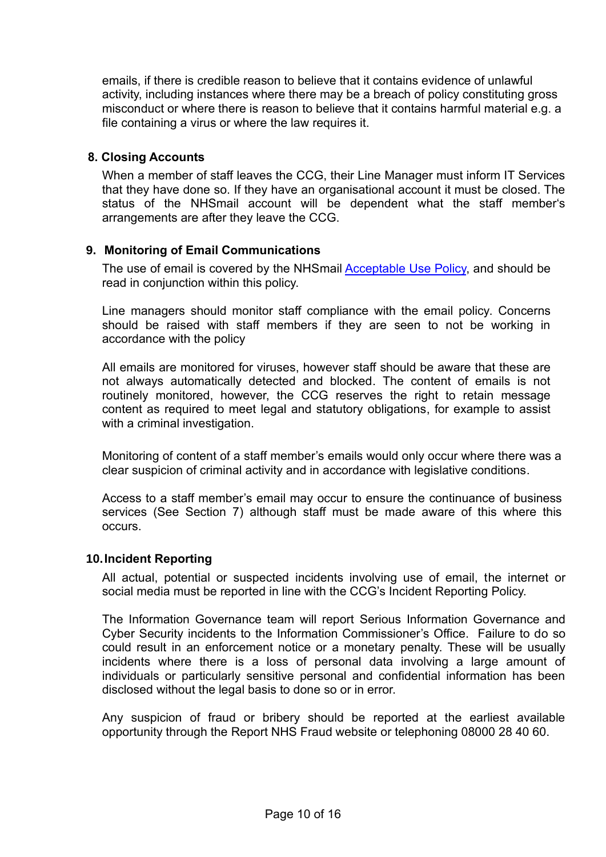emails, if there is credible reason to believe that it contains evidence of unlawful activity, including instances where there may be a breach of policy constituting gross misconduct or where there is reason to believe that it contains harmful material e.g. a file containing a virus or where the law requires it.

## <span id="page-9-0"></span>**8. Closing Accounts**

When a member of staff leaves the CCG, their Line Manager must inform IT Services that they have done so. If they have an organisational account it must be closed. The status of the NHSmail account will be dependent what the staff member's arrangements are after they leave the CCG.

## <span id="page-9-1"></span>**9. Monitoring of Email Communications**

The use of email is covered by the NHSmail [Acceptable Use Policy,](https://portal.nhs.net/Home/AcceptablePolicy) and should be read in conjunction within this policy.

Line managers should monitor staff compliance with the email policy. Concerns should be raised with staff members if they are seen to not be working in accordance with the policy

All emails are monitored for viruses, however staff should be aware that these are not always automatically detected and blocked. The content of emails is not routinely monitored, however, the CCG reserves the right to retain message content as required to meet legal and statutory obligations, for example to assist with a criminal investigation.

Monitoring of content of a staff member's emails would only occur where there was a clear suspicion of criminal activity and in accordance with legislative conditions.

Access to a staff member's email may occur to ensure the continuance of business services (See Section 7) although staff must be made aware of this where this occurs.

#### <span id="page-9-2"></span>**10.Incident Reporting**

All actual, potential or suspected incidents involving use of email, the internet or social media must be reported in line with the CCG's Incident Reporting Policy.

The Information Governance team will report Serious Information Governance and Cyber Security incidents to the Information Commissioner's Office. Failure to do so could result in an enforcement notice or a monetary penalty. These will be usually incidents where there is a loss of personal data involving a large amount of individuals or particularly sensitive personal and confidential information has been disclosed without the legal basis to done so or in error.

Any suspicion of fraud or bribery should be reported at the earliest available opportunity through the [Report NHS Fraud website](https://www.reportnhsfraud.nhs.uk/) or telephoning 08000 28 40 60.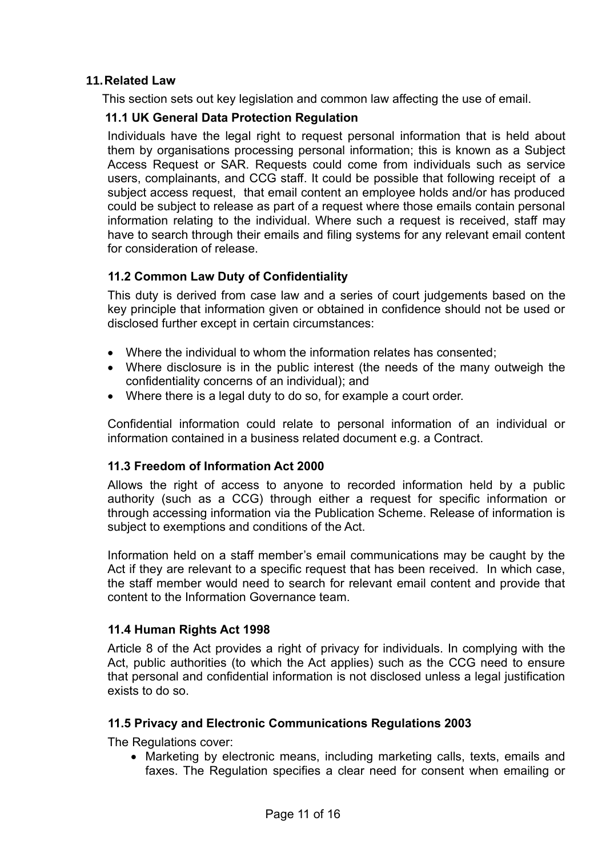## <span id="page-10-0"></span>**11.Related Law**

This section sets out key legislation and common law affecting the use of email.

## <span id="page-10-1"></span> **11.1 UK General Data Protection Regulation**

Individuals have the legal right to request personal information that is held about them by organisations processing personal information; this is known as a Subject Access Request or SAR. Requests could come from individuals such as service users, complainants, and CCG staff. It could be possible that following receipt of a subject access request, that email content an employee holds and/or has produced could be subject to release as part of a request where those emails contain personal information relating to the individual. Where such a request is received, staff may have to search through their emails and filing systems for any relevant email content for consideration of release.

## <span id="page-10-2"></span> **11.2 Common Law Duty of Confidentiality**

This duty is derived from case law and a series of court judgements based on the key principle that information given or obtained in confidence should not be used or disclosed further except in certain circumstances:

- Where the individual to whom the information relates has consented;
- Where disclosure is in the public interest (the needs of the many outweigh the confidentiality concerns of an individual); and
- Where there is a legal duty to do so, for example a court order.

Confidential information could relate to personal information of an individual or information contained in a business related document e.g. a Contract.

## **11.3 Freedom of Information Act 2000**

Allows the right of access to anyone to recorded information held by a public authority (such as a CCG) through either a request for specific information or through accessing information via the Publication Scheme. Release of information is subject to exemptions and conditions of the Act.

Information held on a staff member's email communications may be caught by the Act if they are relevant to a specific request that has been received. In which case, the staff member would need to search for relevant email content and provide that content to the Information Governance team.

## <span id="page-10-3"></span> **11.4 Human Rights Act 1998**

Article 8 of the Act provides a right of privacy for individuals. In complying with the Act, public authorities (to which the Act applies) such as the CCG need to ensure that personal and confidential information is not disclosed unless a legal justification exists to do so.

#### <span id="page-10-4"></span> **11.5 Privacy and Electronic Communications Regulations 2003**

The Regulations cover:

• Marketing by electronic means, including marketing calls, texts, emails and faxes. The Regulation specifies a clear need for consent when emailing or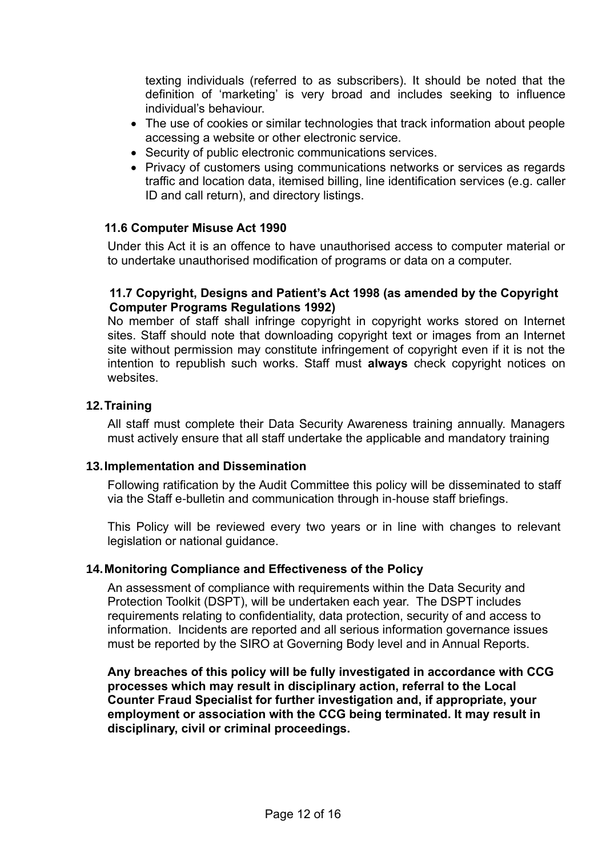texting individuals (referred to as subscribers). It should be noted that the definition of 'marketing' is very broad and includes seeking to influence individual's behaviour.

- The use of cookies or similar technologies that track information about people accessing a website or other electronic service.
- Security of public electronic communications services.
- Privacy of customers using communications networks or services as regards traffic and location data, itemised billing, line identification services (e.g. caller ID and call return), and directory listings.

#### <span id="page-11-0"></span>**11.6 Computer Misuse Act 1990**

Under this Act it is an offence to have unauthorised access to computer material or to undertake unauthorised modification of programs or data on a computer.

#### <span id="page-11-1"></span>**11.7 Copyright, Designs and Patient's Act 1998 (as amended by the Copyright Computer Programs Regulations 1992)**

No member of staff shall infringe copyright in copyright works stored on Internet sites. Staff should note that downloading copyright text or images from an Internet site without permission may constitute infringement of copyright even if it is not the intention to republish such works. Staff must **always** check copyright notices on websites.

#### <span id="page-11-2"></span>**12.Training**

All staff must complete their Data Security Awareness training annually. Managers must actively ensure that all staff undertake the applicable and mandatory training

#### <span id="page-11-3"></span>**13.Implementation and Dissemination**

Following ratification by the Audit Committee this policy will be disseminated to staff via the Staff e-bulletin and communication through in-house staff briefings.

This Policy will be reviewed every two years or in line with changes to relevant legislation or national guidance.

#### <span id="page-11-4"></span>**14.Monitoring Compliance and Effectiveness of the Policy**

An assessment of compliance with requirements within the Data Security and Protection Toolkit (DSPT), will be undertaken each year. The DSPT includes requirements relating to confidentiality, data protection, security of and access to information. Incidents are reported and all serious information governance issues must be reported by the SIRO at Governing Body level and in Annual Reports.

**Any breaches of this policy will be fully investigated in accordance with CCG processes which may result in disciplinary action, referral to the Local Counter Fraud Specialist for further investigation and, if appropriate, your employment or association with the CCG being terminated. It may result in disciplinary, civil or criminal proceedings.**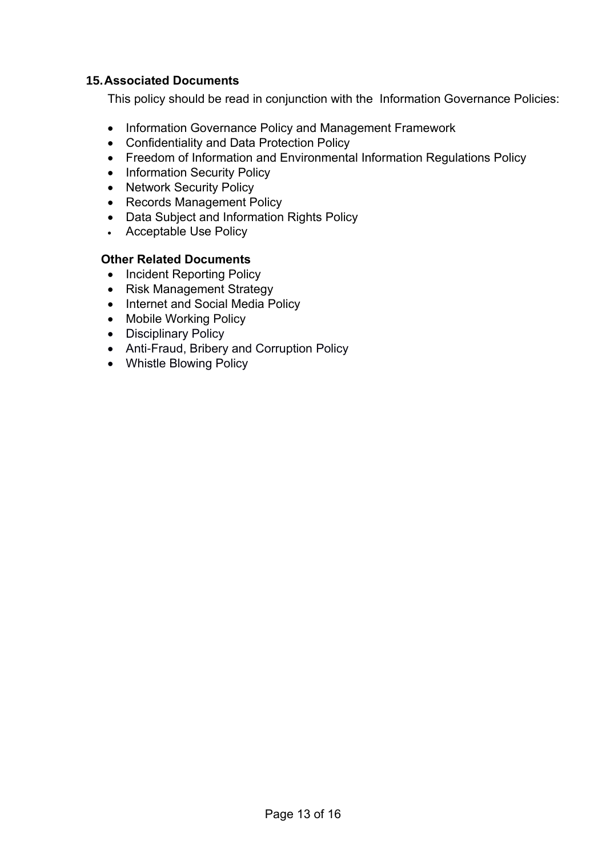## <span id="page-12-0"></span>**15.Associated Documents**

This policy should be read in conjunction with the Information Governance Policies:

- Information Governance Policy and Management Framework
- Confidentiality and Data Protection Policy
- Freedom of Information and Environmental Information Regulations Policy
- Information Security Policy
- Network Security Policy
- Records Management Policy
- Data Subject and Information Rights Policy
- Acceptable Use Policy

#### <span id="page-12-1"></span>**Other Related Documents**

- Incident Reporting Policy
- Risk Management Strategy
- Internet and Social Media Policy
- Mobile Working Policy
- Disciplinary Policy
- Anti-Fraud, Bribery and Corruption Policy
- Whistle Blowing Policy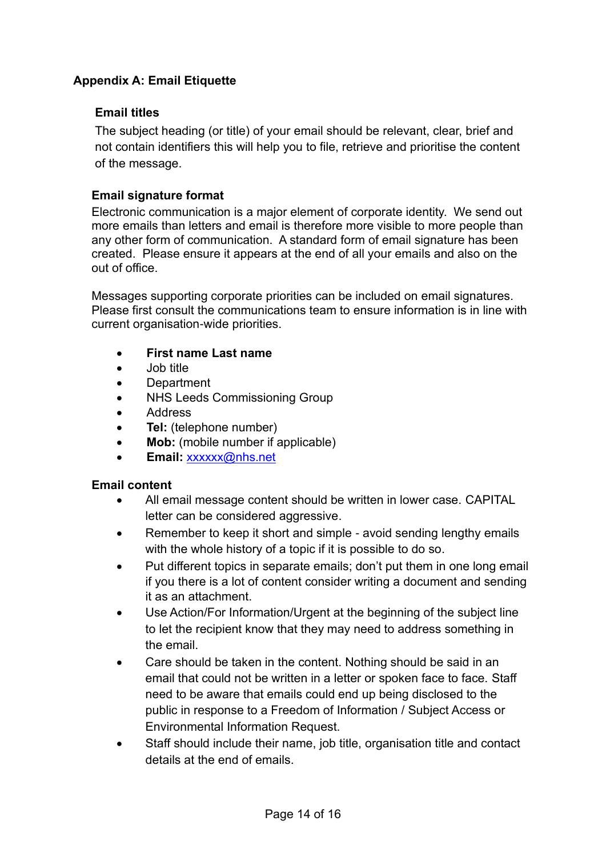## <span id="page-13-0"></span>**Appendix A: Email Etiquette**

## **Email titles**

The subject heading (or title) of your email should be relevant, clear, brief and not contain identifiers this will help you to file, retrieve and prioritise the content of the message.

## **Email signature format**

Electronic communication is a major element of corporate identity. We send out more emails than letters and email is therefore more visible to more people than any other form of communication. A standard form of email signature has been created. Please ensure it appears at the end of all your emails and also on the out of office.

Messages supporting corporate priorities can be included on email signatures. Please first consult the communications team to ensure information is in line with current organisation-wide priorities.

- **First name Last name**
- Job title
- **Department**
- NHS Leeds Commissioning Group
- Address
- **Tel:** (telephone number)
- **Mob:** (mobile number if applicable)
- **Email:** [xxxxxx@nhs.net](mailto:xxxxxx@nhs.net)

## **Email content**

- All email message content should be written in lower case. CAPITAL letter can be considered aggressive.
- Remember to keep it short and simple avoid sending lengthy emails with the whole history of a topic if it is possible to do so.
- Put different topics in separate emails; don't put them in one long email if you there is a lot of content consider writing a document and sending it as an attachment.
- Use Action/For Information/Urgent at the beginning of the subject line to let the recipient know that they may need to address something in the email.
- Care should be taken in the content. Nothing should be said in an email that could not be written in a letter or spoken face to face. Staff need to be aware that emails could end up being disclosed to the public in response to a Freedom of Information / Subject Access or Environmental Information Request.
- Staff should include their name, job title, organisation title and contact details at the end of emails.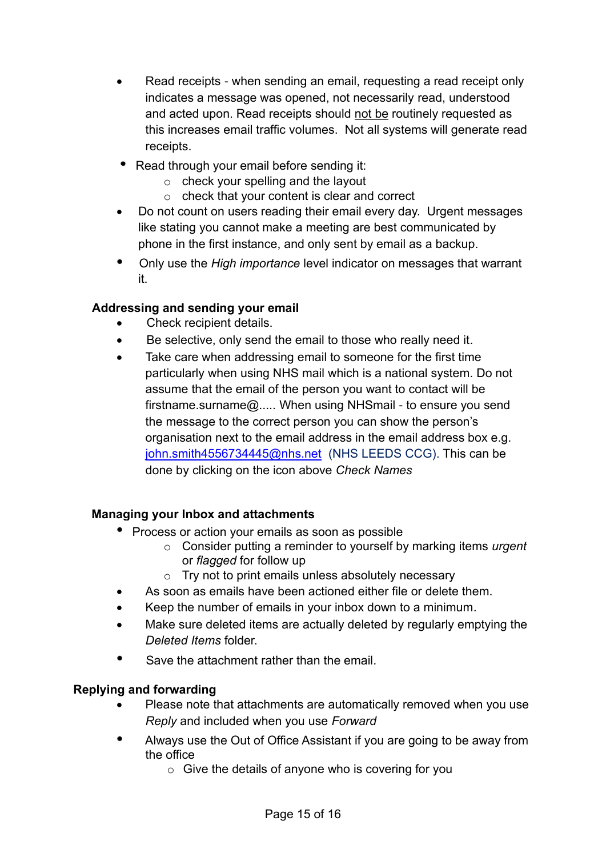- Read receipts when sending an email, requesting a read receipt only indicates a message was opened, not necessarily read, understood and acted upon. Read receipts should not be routinely requested as this increases email traffic volumes. Not all systems will generate read receipts.
- Read through your email before sending it:
	- o check your spelling and the layout
	- o check that your content is clear and correct
- Do not count on users reading their email every day. Urgent messages like stating you cannot make a meeting are best communicated by phone in the first instance, and only sent by email as a backup.
- Only use the *High importance* level indicator on messages that warrant it.

## **Addressing and sending your email**

- Check recipient details.
- Be selective, only send the email to those who really need it.
- Take care when addressing email to someone for the first time particularly when using NHS mail which is a national system. Do not assume that the email of the person you want to contact will be firstname.surname@..... When using NHSmail - to ensure you send the message to the correct person you can show the person's organisation next to the email address in the email address box e.g. [john.smith4556734445@nhs.net](mailto:john.smith4556734445@nhs.net) (NHS LEEDS CCG). This can be done by clicking on the icon above *Check Names*

## **Managing your Inbox and attachments**

- Process or action your emails as soon as possible
	- o Consider putting a reminder to yourself by marking items *urgent* or *flagged* for follow up
	- o Try not to print emails unless absolutely necessary
- As soon as emails have been actioned either file or delete them.
- Keep the number of emails in your inbox down to a minimum.
- Make sure deleted items are actually deleted by regularly emptying the *Deleted Items* folder.
- Save the attachment rather than the email.

## **Replying and forwarding**

- Please note that attachments are automatically removed when you use *Reply* and included when you use *Forward*
- Always use the Out of Office Assistant if you are going to be away from the office
	- o Give the details of anyone who is covering for you